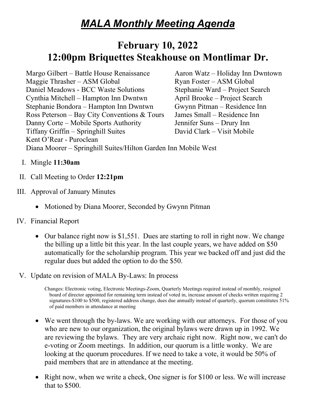# *MALA Monthly Meeting Agenda*

## **February 10, 2022 12:00pm Briquettes Steakhouse on Montlimar Dr.**

Margo Gilbert – Battle House Renaissance Aaron Watz – Holiday Inn Dwntown  $M$ aggie Thrasher – ASM Global Ryan Foster – ASM Global Daniel Meadows - BCC Waste Solutions Stephanie Ward – Project Search Cynthia Mitchell – Hampton Inn Dwntwn April Brooke – Project Search Stephanie Bondora – Hampton Inn Dwntwn Gwynn Pitman – Residence Inn Ross Peterson – Bay City Conventions & Tours James Small – Residence Inn Danny Corte – Mobile Sports Authority Jennifer Suns – Drury Inn Tiffany Griffin – Springhill Suites David Clark – Visit Mobile Kent O'Rear - Puroclean

Diana Moorer – Springhill Suites/Hilton Garden Inn Mobile West

- I. Mingle **11:30am**
- II. Call Meeting to Order **12:21pm**
- III. Approval of January Minutes
	- Motioned by Diana Moorer, Seconded by Gwynn Pitman
- IV. Financial Report
	- Our balance right now is \$1,551. Dues are starting to roll in right now. We change the billing up a little bit this year. In the last couple years, we have added on \$50 automatically for the scholarship program. This year we backed off and just did the regular dues but added the option to do the \$50.
- V. Update on revision of MALA By-Laws: In process

Changes: Electronic voting, Electronic Meetings-Zoom, Quarterly Meetings required instead of monthly, resigned board of director appointed for remaining term instead of voted in, increase amount of checks written requiring 2 signatures-\$100 to \$500, registered address change, dues due annually instead of quarterly, quorum constitutes 51% of paid members in attendance at meeting

- We went through the by-laws. We are working with our attorneys. For those of you who are new to our organization, the original bylaws were drawn up in 1992. We are reviewing the bylaws. They are very archaic right now. Right now, we can't do e-voting or Zoom meetings. In addition, our quorum is a little wonky. We are looking at the quorum procedures. If we need to take a vote, it would be 50% of paid members that are in attendance at the meeting.
- Right now, when we write a check, One signer is for \$100 or less. We will increase that to \$500.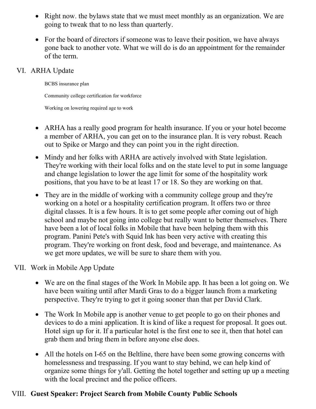- Right now. the bylaws state that we must meet monthly as an organization. We are going to tweak that to no less than quarterly.
- For the board of directors if someone was to leave their position, we have always gone back to another vote. What we will do is do an appointment for the remainder of the term.

### VI. ARHA Update

BCBS insurance plan

Community college certification for workforce

Working on lowering required age to work

- ARHA has a really good program for health insurance. If you or your hotel become a member of ARHA, you can get on to the insurance plan. It is very robust. Reach out to Spike or Margo and they can point you in the right direction.
- Mindy and her folks with ARHA are actively involved with State legislation. They're working with their local folks and on the state level to put in some language and change legislation to lower the age limit for some of the hospitality work positions, that you have to be at least 17 or 18. So they are working on that.
- They are in the middle of working with a community college group and they're working on a hotel or a hospitality certification program. It offers two or three digital classes. It is a few hours. It is to get some people after coming out of high school and maybe not going into college but really want to better themselves. There have been a lot of local folks in Mobile that have been helping them with this program. Panini Pete's with Squid Ink has been very active with creating this program. They're working on front desk, food and beverage, and maintenance. As we get more updates, we will be sure to share them with you.

## VII. Work in Mobile App Update

- We are on the final stages of the Work In Mobile app. It has been a lot going on. We have been waiting until after Mardi Gras to do a bigger launch from a marketing perspective. They're trying to get it going sooner than that per David Clark.
- The Work In Mobile app is another venue to get people to go on their phones and devices to do a mini application. It is kind of like a request for proposal. It goes out. Hotel sign up for it. If a particular hotel is the first one to see it, then that hotel can grab them and bring them in before anyone else does.
- All the hotels on I-65 on the Beltline, there have been some growing concerns with homelessness and trespassing. If you want to stay behind, we can help kind of organize some things for y'all. Getting the hotel together and setting up up a meeting with the local precinct and the police officers.

## VIII. **Guest Speaker: Project Search from Mobile County Public Schools**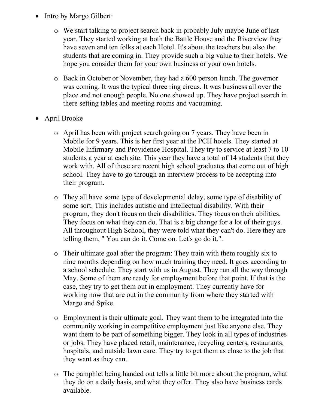- Intro by Margo Gilbert:
	- o We start talking to project search back in probably July maybe June of last year. They started working at both the Battle House and the Riverview they have seven and ten folks at each Hotel. It's about the teachers but also the students that are coming in. They provide such a big value to their hotels. We hope you consider them for your own business or your own hotels.
	- o Back in October or November, they had a 600 person lunch. The governor was coming. It was the typical three ring circus. It was business all over the place and not enough people. No one showed up. They have project search in there setting tables and meeting rooms and vacuuming.
- April Brooke
	- o April has been with project search going on 7 years. They have been in Mobile for 9 years. This is her first year at the PCH hotels. They started at Mobile Infirmary and Providence Hospital. They try to service at least 7 to 10 students a year at each site. This year they have a total of 14 students that they work with. All of these are recent high school graduates that come out of high school. They have to go through an interview process to be accepting into their program.
	- o They all have some type of developmental delay, some type of disability of some sort. This includes autistic and intellectual disability. With their program, they don't focus on their disabilities. They focus on their abilities. They focus on what they can do. That is a big change for a lot of their guys. All throughout High School, they were told what they can't do. Here they are telling them, " You can do it. Come on. Let's go do it.".
	- o Their ultimate goal after the program: They train with them roughly six to nine months depending on how much training they need. It goes according to a school schedule. They start with us in August. They run all the way through May. Some of them are ready for employment before that point. If that is the case, they try to get them out in employment. They currently have for working now that are out in the community from where they started with Margo and Spike.
	- o Employment is their ultimate goal. They want them to be integrated into the community working in competitive employment just like anyone else. They want them to be part of something bigger. They look in all types of industries or jobs. They have placed retail, maintenance, recycling centers, restaurants, hospitals, and outside lawn care. They try to get them as close to the job that they want as they can.
	- o The pamphlet being handed out tells a little bit more about the program, what they do on a daily basis, and what they offer. They also have business cards available.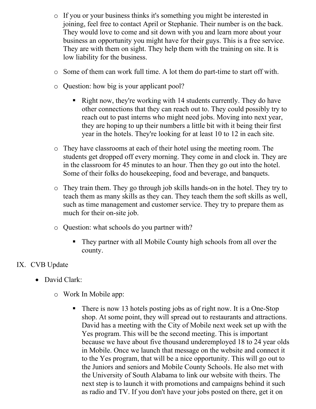- o If you or your business thinks it's something you might be interested in joining, feel free to contact April or Stephanie. Their number is on the back. They would love to come and sit down with you and learn more about your business an opportunity you might have for their guys. This is a free service. They are with them on sight. They help them with the training on site. It is low liability for the business.
- o Some of them can work full time. A lot them do part-time to start off with.
- o Question: how big is your applicant pool?
	- Right now, they're working with 14 students currently. They do have other connections that they can reach out to. They could possibly try to reach out to past interns who might need jobs. Moving into next year, they are hoping to up their numbers a little bit with it being their first year in the hotels. They're looking for at least 10 to 12 in each site.
- o They have classrooms at each of their hotel using the meeting room. The students get dropped off every morning. They come in and clock in. They are in the classroom for 45 minutes to an hour. Then they go out into the hotel. Some of their folks do housekeeping, food and beverage, and banquets.
- o They train them. They go through job skills hands-on in the hotel. They try to teach them as many skills as they can. They teach them the soft skills as well, such as time management and customer service. They try to prepare them as much for their on-site job.
- o Question: what schools do you partner with?
	- They partner with all Mobile County high schools from all over the county.

#### IX. CVB Update

- David Clark:
	- o Work In Mobile app:
		- There is now 13 hotels posting jobs as of right now. It is a One-Stop shop. At some point, they will spread out to restaurants and attractions. David has a meeting with the City of Mobile next week set up with the Yes program. This will be the second meeting. This is important because we have about five thousand underemployed 18 to 24 year olds in Mobile. Once we launch that message on the website and connect it to the Yes program, that will be a nice opportunity. This will go out to the Juniors and seniors and Mobile County Schools. He also met with the University of South Alabama to link our website with theirs. The next step is to launch it with promotions and campaigns behind it such as radio and TV. If you don't have your jobs posted on there, get it on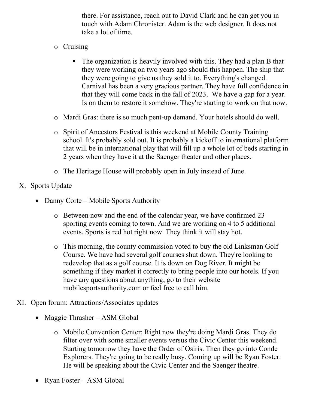there. For assistance, reach out to David Clark and he can get you in touch with Adam Chronister. Adam is the web designer. It does not take a lot of time.

- o Cruising
	- The organization is heavily involved with this. They had a plan B that they were working on two years ago should this happen. The ship that they were going to give us they sold it to. Everything's changed. Carnival has been a very gracious partner. They have full confidence in that they will come back in the fall of 2023. We have a gap for a year. Is on them to restore it somehow. They're starting to work on that now.
- o Mardi Gras: there is so much pent-up demand. Your hotels should do well.
- o Spirit of Ancestors Festival is this weekend at Mobile County Training school. It's probably sold out. It is probably a kickoff to international platform that will be in international play that will fill up a whole lot of beds starting in 2 years when they have it at the Saenger theater and other places.
- o The Heritage House will probably open in July instead of June.
- X. Sports Update
	- Danny Corte Mobile Sports Authority
		- o Between now and the end of the calendar year, we have confirmed 23 sporting events coming to town. And we are working on 4 to 5 additional events. Sports is red hot right now. They think it will stay hot.
		- o This morning, the county commission voted to buy the old Linksman Golf Course. We have had several golf courses shut down. They're looking to redevelop that as a golf course. It is down on Dog River. It might be something if they market it correctly to bring people into our hotels. If you have any questions about anything, go to their website mobilesportsauthority.com or feel free to call him.
- XI. Open forum: Attractions/Associates updates
	- Maggie Thrasher ASM Global
		- o Mobile Convention Center: Right now they're doing Mardi Gras. They do filter over with some smaller events versus the Civic Center this weekend. Starting tomorrow they have the Order of Osiris. Then they go into Conde Explorers. They're going to be really busy. Coming up will be Ryan Foster. He will be speaking about the Civic Center and the Saenger theatre.
	- Ryan Foster ASM Global